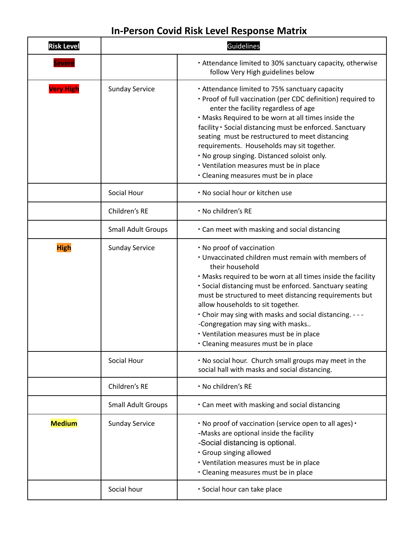## **In-Person Covid Risk Level Response Matrix**

| <b>Risk Level</b> |                           | Guidelines                                                                                                                                                                                                                                                                                                                                                                                                                                                                                                        |
|-------------------|---------------------------|-------------------------------------------------------------------------------------------------------------------------------------------------------------------------------------------------------------------------------------------------------------------------------------------------------------------------------------------------------------------------------------------------------------------------------------------------------------------------------------------------------------------|
| Severe            |                           | • Attendance limited to 30% sanctuary capacity, otherwise<br>follow Very High guidelines below                                                                                                                                                                                                                                                                                                                                                                                                                    |
| <b>Very High</b>  | <b>Sunday Service</b>     | • Attendance limited to 75% sanctuary capacity<br>. Proof of full vaccination (per CDC definition) required to<br>enter the facility regardless of age<br>. Masks Required to be worn at all times inside the<br>facility . Social distancing must be enforced. Sanctuary<br>seating must be restructured to meet distancing<br>requirements. Households may sit together.<br>. No group singing. Distanced soloist only.<br>• Ventilation measures must be in place<br>• Cleaning measures must be in place      |
|                   | Social Hour               | . No social hour or kitchen use                                                                                                                                                                                                                                                                                                                                                                                                                                                                                   |
|                   | Children's RE             | · No children's RE                                                                                                                                                                                                                                                                                                                                                                                                                                                                                                |
|                   | <b>Small Adult Groups</b> | . Can meet with masking and social distancing                                                                                                                                                                                                                                                                                                                                                                                                                                                                     |
| <b>High</b>       | <b>Sunday Service</b>     | . No proof of vaccination<br>. Unvaccinated children must remain with members of<br>their household<br>. Masks required to be worn at all times inside the facility<br>· Social distancing must be enforced. Sanctuary seating<br>must be structured to meet distancing requirements but<br>allow households to sit together.<br>. Choir may sing with masks and social distancing. - - -<br>-Congregation may sing with masks<br>• Ventilation measures must be in place<br>• Cleaning measures must be in place |
|                   | Social Hour               | . No social hour. Church small groups may meet in the<br>social hall with masks and social distancing.                                                                                                                                                                                                                                                                                                                                                                                                            |
|                   | Children's RE             | · No children's RE                                                                                                                                                                                                                                                                                                                                                                                                                                                                                                |
|                   | <b>Small Adult Groups</b> | . Can meet with masking and social distancing                                                                                                                                                                                                                                                                                                                                                                                                                                                                     |
| <b>Medium</b>     | <b>Sunday Service</b>     | . No proof of vaccination (service open to all ages) .<br>-Masks are optional inside the facility<br>-Social distancing is optional.<br>· Group singing allowed<br>• Ventilation measures must be in place<br>• Cleaning measures must be in place                                                                                                                                                                                                                                                                |
|                   | Social hour               | · Social hour can take place                                                                                                                                                                                                                                                                                                                                                                                                                                                                                      |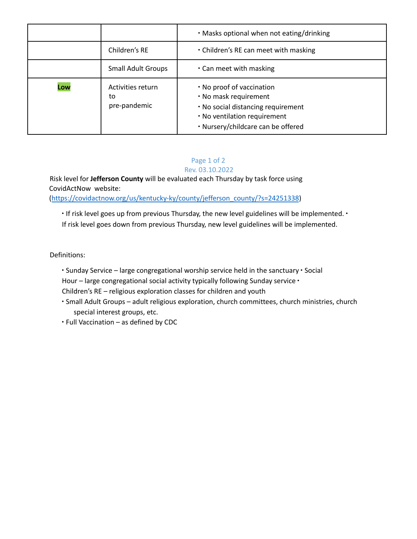|     |                                         | . Masks optional when not eating/drinking                                                                                                                      |
|-----|-----------------------------------------|----------------------------------------------------------------------------------------------------------------------------------------------------------------|
|     | Children's RE                           | . Children's RE can meet with masking                                                                                                                          |
|     | <b>Small Adult Groups</b>               | . Can meet with masking                                                                                                                                        |
| Low | Activities return<br>to<br>pre-pandemic | . No proof of vaccination<br>. No mask requirement<br>. No social distancing requirement<br>. No ventilation requirement<br>· Nursery/childcare can be offered |

## Page 1 of 2 Rev. 03.10.2022

Risk level for **Jefferson County** will be evaluated each Thursday by task force using CovidActNow website:

(https://covidactnow.org/us/kentucky-ky/county/jefferson\_county/?s=24251338)

∙ If risk level goes up from previous Thursday, the new level guidelines will be implemented. ∙ If risk level goes down from previous Thursday, new level guidelines will be implemented.

Definitions:

∙ Sunday Service – large congregational worship service held in the sanctuary ∙ Social Hour – large congregational social activity typically following Sunday service ∙

- Children's RE religious exploration classes for children and youth
- ∙ Small Adult Groups adult religious exploration, church committees, church ministries, church special interest groups, etc.
- ∙ Full Vaccination as defined by CDC